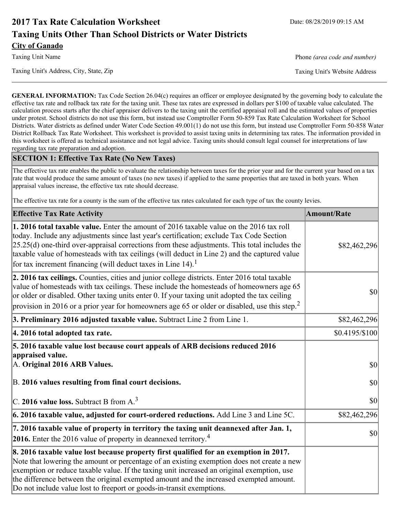# **2017 Tax Rate Calculation Worksheet** Date: 08/28/2019 09:15 AM **Taxing Units Other Than School Districts or Water Districts City of Ganado**

Taxing Unit's Address, City, State, Zip Taxing Unit's Website Address

Taxing Unit Name **Phone** *(area code and number)* Phone *(area code and number)* 

**GENERAL INFORMATION:** Tax Code Section 26.04(c) requires an officer or employee designated by the governing body to calculate the effective tax rate and rollback tax rate for the taxing unit. These tax rates are expressed in dollars per \$100 of taxable value calculated. The calculation process starts after the chief appraiser delivers to the taxing unit the certified appraisal roll and the estimated values of properties under protest. School districts do not use this form, but instead use Comptroller Form 50-859 Tax Rate Calculation Worksheet for School Districts. Water districts as defined under Water Code Section 49.001(1) do not use this form, but instead use Comptroller Form 50-858 Water District Rollback Tax Rate Worksheet. This worksheet is provided to assist taxing units in determining tax rates. The information provided in this worksheet is offered as technical assistance and not legal advice. Taxing units should consult legal counsel for interpretations of law regarding tax rate preparation and adoption.

### **SECTION 1: Effective Tax Rate (No New Taxes)**

The effective tax rate enables the public to evaluate the relationship between taxes for the prior year and for the current year based on a tax rate that would produce the same amount of taxes (no new taxes) if applied to the same properties that are taxed in both years. When appraisal values increase, the effective tax rate should decrease.

The effective tax rate for a county is the sum of the effective tax rates calculated for each type of tax the county levies.

| <b>Effective Tax Rate Activity</b>                                                                                                                                                                                                                                                                                                                                                                                                                      | <b>Amount/Rate</b> |
|---------------------------------------------------------------------------------------------------------------------------------------------------------------------------------------------------------------------------------------------------------------------------------------------------------------------------------------------------------------------------------------------------------------------------------------------------------|--------------------|
| 1. 2016 total taxable value. Enter the amount of 2016 taxable value on the 2016 tax roll<br>today. Include any adjustments since last year's certification; exclude Tax Code Section<br>$[25.25(d)$ one-third over-appraisal corrections from these adjustments. This total includes the<br>taxable value of homesteads with tax ceilings (will deduct in Line 2) and the captured value<br>for tax increment financing (will deduct taxes in Line 14). | \$82,462,296       |
| 2. 2016 tax ceilings. Counties, cities and junior college districts. Enter 2016 total taxable<br>value of homesteads with tax ceilings. These include the homesteads of homeowners age 65<br>or older or disabled. Other taxing units enter 0. If your taxing unit adopted the tax ceiling<br>provision in 2016 or a prior year for homeowners age 65 or older or disabled, use this step. <sup>2</sup>                                                 | 30                 |
| 3. Preliminary 2016 adjusted taxable value. Subtract Line 2 from Line 1.                                                                                                                                                                                                                                                                                                                                                                                | \$82,462,296       |
| 4. 2016 total adopted tax rate.                                                                                                                                                                                                                                                                                                                                                                                                                         | \$0.4195/S100      |
| 5. 2016 taxable value lost because court appeals of ARB decisions reduced 2016<br>appraised value.<br>A. Original 2016 ARB Values.                                                                                                                                                                                                                                                                                                                      | $ 10\rangle$       |
| B. 2016 values resulting from final court decisions.                                                                                                                                                                                                                                                                                                                                                                                                    | \$0                |
| C. 2016 value loss. Subtract B from $A3$                                                                                                                                                                                                                                                                                                                                                                                                                | $ 10\rangle$       |
| 6. 2016 taxable value, adjusted for court-ordered reductions. Add Line 3 and Line 5C.                                                                                                                                                                                                                                                                                                                                                                   | \$82,462,296       |
| 7. 2016 taxable value of property in territory the taxing unit deannexed after Jan. 1,<br><b>2016.</b> Enter the 2016 value of property in deannexed territory. <sup>4</sup>                                                                                                                                                                                                                                                                            | $ 10\rangle$       |
| 8. 2016 taxable value lost because property first qualified for an exemption in 2017.<br>Note that lowering the amount or percentage of an existing exemption does not create a new<br>exemption or reduce taxable value. If the taxing unit increased an original exemption, use<br>the difference between the original exempted amount and the increased exempted amount.<br>Do not include value lost to freeport or goods-in-transit exemptions.    |                    |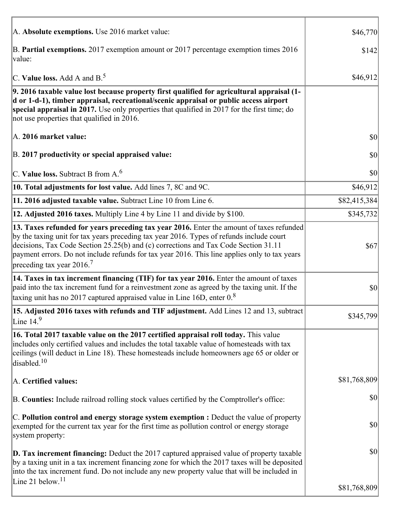| A. Absolute exemptions. Use 2016 market value:                                                                                                                                                                                                                                                                                                                                                                         | \$46,770     |
|------------------------------------------------------------------------------------------------------------------------------------------------------------------------------------------------------------------------------------------------------------------------------------------------------------------------------------------------------------------------------------------------------------------------|--------------|
| B. Partial exemptions. 2017 exemption amount or 2017 percentage exemption times 2016<br>value:                                                                                                                                                                                                                                                                                                                         | \$142        |
| C. Value loss. Add A and $B^5$ .                                                                                                                                                                                                                                                                                                                                                                                       | \$46,912     |
| 9. 2016 taxable value lost because property first qualified for agricultural appraisal (1-<br>d or 1-d-1), timber appraisal, recreational/scenic appraisal or public access airport<br>special appraisal in 2017. Use only properties that qualified in 2017 for the first time; do<br>not use properties that qualified in 2016.                                                                                      |              |
| A. 2016 market value:                                                                                                                                                                                                                                                                                                                                                                                                  | 30           |
| B. 2017 productivity or special appraised value:                                                                                                                                                                                                                                                                                                                                                                       | \$0          |
| C. Value loss. Subtract B from $A6$                                                                                                                                                                                                                                                                                                                                                                                    | \$0          |
| 10. Total adjustments for lost value. Add lines 7, 8C and 9C.                                                                                                                                                                                                                                                                                                                                                          | \$46,912     |
| 11. 2016 adjusted taxable value. Subtract Line 10 from Line 6.                                                                                                                                                                                                                                                                                                                                                         | \$82,415,384 |
| 12. Adjusted 2016 taxes. Multiply Line 4 by Line 11 and divide by \$100.                                                                                                                                                                                                                                                                                                                                               | \$345,732    |
| 13. Taxes refunded for years preceding tax year 2016. Enter the amount of taxes refunded<br>by the taxing unit for tax years preceding tax year 2016. Types of refunds include court<br>decisions, Tax Code Section 25.25(b) and (c) corrections and Tax Code Section 31.11<br>payment errors. Do not include refunds for tax year 2016. This line applies only to tax years<br>preceding tax year $2016$ <sup>7</sup> | \$67         |
| 14. Taxes in tax increment financing (TIF) for tax year 2016. Enter the amount of taxes<br>paid into the tax increment fund for a reinvestment zone as agreed by the taxing unit. If the<br>taxing unit has no 2017 captured appraised value in Line 16D, enter $0.8$                                                                                                                                                  | \$0          |
| 15. Adjusted 2016 taxes with refunds and TIF adjustment. Add Lines 12 and 13, subtract<br>Line $149$                                                                                                                                                                                                                                                                                                                   | \$345,799    |
| 16. Total 2017 taxable value on the 2017 certified appraisal roll today. This value<br>includes only certified values and includes the total taxable value of homesteads with tax<br>ceilings (will deduct in Line 18). These homesteads include homeowners age 65 or older or<br>disabled. <sup>10</sup>                                                                                                              |              |
| A. Certified values:                                                                                                                                                                                                                                                                                                                                                                                                   | \$81,768,809 |
| B. Counties: Include railroad rolling stock values certified by the Comptroller's office:                                                                                                                                                                                                                                                                                                                              | \$0          |
| $ C$ . Pollution control and energy storage system exemption : Deduct the value of property<br>exempted for the current tax year for the first time as pollution control or energy storage<br>system property:                                                                                                                                                                                                         | \$0          |
| <b>D. Tax increment financing:</b> Deduct the 2017 captured appraised value of property taxable<br>by a taxing unit in a tax increment financing zone for which the 2017 taxes will be deposited<br>into the tax increment fund. Do not include any new property value that will be included in<br>Line 21 below. <sup>11</sup>                                                                                        | \$0          |
|                                                                                                                                                                                                                                                                                                                                                                                                                        | \$81,768,809 |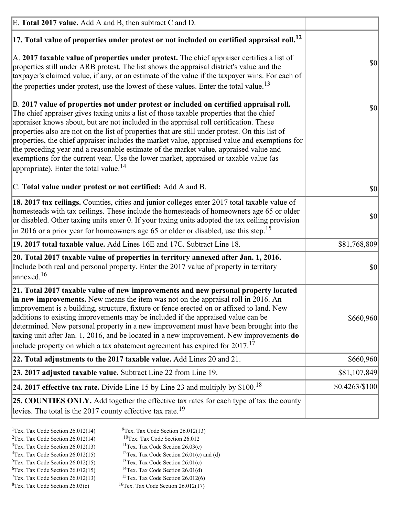| E. Total 2017 value. Add A and B, then subtract C and D.                                                                                                                                                                                                                                                                                                                                                                                                                                                                                                                                                                                                                                                                 |                |
|--------------------------------------------------------------------------------------------------------------------------------------------------------------------------------------------------------------------------------------------------------------------------------------------------------------------------------------------------------------------------------------------------------------------------------------------------------------------------------------------------------------------------------------------------------------------------------------------------------------------------------------------------------------------------------------------------------------------------|----------------|
| $ 17$ . Total value of properties under protest or not included on certified appraisal roll. <sup>12</sup>                                                                                                                                                                                                                                                                                                                                                                                                                                                                                                                                                                                                               |                |
| A. 2017 taxable value of properties under protest. The chief appraiser certifies a list of<br>properties still under ARB protest. The list shows the appraisal district's value and the<br>taxpayer's claimed value, if any, or an estimate of the value if the taxpayer wins. For each of<br>the properties under protest, use the lowest of these values. Enter the total value. <sup>13</sup>                                                                                                                                                                                                                                                                                                                         | \$0            |
| B. 2017 value of properties not under protest or included on certified appraisal roll.<br>The chief appraiser gives taxing units a list of those taxable properties that the chief<br>appraiser knows about, but are not included in the appraisal roll certification. These<br>properties also are not on the list of properties that are still under protest. On this list of<br>properties, the chief appraiser includes the market value, appraised value and exemptions for<br>the preceding year and a reasonable estimate of the market value, appraised value and<br>exemptions for the current year. Use the lower market, appraised or taxable value (as<br>appropriate). Enter the total value. <sup>14</sup> | <b>\$0</b>     |
| C. Total value under protest or not certified: Add A and B.                                                                                                                                                                                                                                                                                                                                                                                                                                                                                                                                                                                                                                                              | $ 10\rangle$   |
| 18. 2017 tax ceilings. Counties, cities and junior colleges enter 2017 total taxable value of<br>homesteads with tax ceilings. These include the homesteads of homeowners age 65 or older<br>or disabled. Other taxing units enter 0. If your taxing units adopted the tax ceiling provision<br>$\vert$ in 2016 or a prior year for homeowners age 65 or older or disabled, use this step. <sup>15</sup>                                                                                                                                                                                                                                                                                                                 | \$0            |
| 19. 2017 total taxable value. Add Lines 16E and 17C. Subtract Line 18.                                                                                                                                                                                                                                                                                                                                                                                                                                                                                                                                                                                                                                                   | \$81,768,809   |
| 20. Total 2017 taxable value of properties in territory annexed after Jan. 1, 2016.<br>Include both real and personal property. Enter the 2017 value of property in territory<br>$\text{lanned}$ . <sup>16</sup>                                                                                                                                                                                                                                                                                                                                                                                                                                                                                                         | $ 10\rangle$   |
| 21. Total 2017 taxable value of new improvements and new personal property located<br>in new improvements. New means the item was not on the appraisal roll in 2016. An<br>improvement is a building, structure, fixture or fence erected on or affixed to land. New<br>additions to existing improvements may be included if the appraised value can be<br>determined. New personal property in a new improvement must have been brought into the<br>taxing unit after Jan. 1, 2016, and be located in a new improvement. New improvements <b>do</b><br>include property on which a tax abatement agreement has expired for $2017$ . <sup>17</sup>                                                                      | \$660,960      |
| 22. Total adjustments to the 2017 taxable value. Add Lines 20 and 21.                                                                                                                                                                                                                                                                                                                                                                                                                                                                                                                                                                                                                                                    | \$660,960      |
| 23. 2017 adjusted taxable value. Subtract Line 22 from Line 19.                                                                                                                                                                                                                                                                                                                                                                                                                                                                                                                                                                                                                                                          | \$81,107,849   |
| 24. 2017 effective tax rate. Divide Line 15 by Line 23 and multiply by $$100$ . <sup>18</sup>                                                                                                                                                                                                                                                                                                                                                                                                                                                                                                                                                                                                                            | \$0.4263/\$100 |
| <b>25. COUNTIES ONLY.</b> Add together the effective tax rates for each type of tax the county<br>levies. The total is the 2017 county effective tax rate. <sup>19</sup>                                                                                                                                                                                                                                                                                                                                                                                                                                                                                                                                                 |                |

- <sup>2</sup>Tex. Tax Code Section 26.012(14)
- <sup>1</sup>Tex. Tax Code Section 26.012(14) <sup>9</sup>Tex. Tax Code Section 26.012(13) <sup>9</sup>Tex. Tax Code Section 26.012
	-
- <sup>3</sup>Tex. Tax Code Section 26.012(13) <sup>11</sup>Tex. Tax Code Section 26.03(c) <sup>4</sup>Tex. Tax Code Section 26.01(c) and <sup>12</sup>Tex. Tax Code Section 26.01(c) and <sup>12</sup>Tex. Tax Code Section 26.01(c) and <sup>12</sup>Tex. Tax Code Section 26.01(c)
	- <sup>12</sup>Tex. Tax Code Section 26.01(c) and (d)
	-
- <sup>5</sup>Tex. Tax Code Section 26.012(15) <sup>13</sup>Tex. Tax Code Section 26.01(c) <sup>6</sup>Tex. Tax Code Section 26.01(d) <sup>6</sup>Tex. Tax Code Section 26.012(15) <sup>14</sup>Tex. Tax Code Section 26.01(d)<sup>7</sup>Tex. Tax Code Section 26.012(6)
- $7$ Tex. Tax Code Section 26.012(13)
- 
- 
- ${}^{8}$ Tex. Tax Code Section 26.03(c)  ${}^{16}$ Tex. Tax Code Section 26.012(17)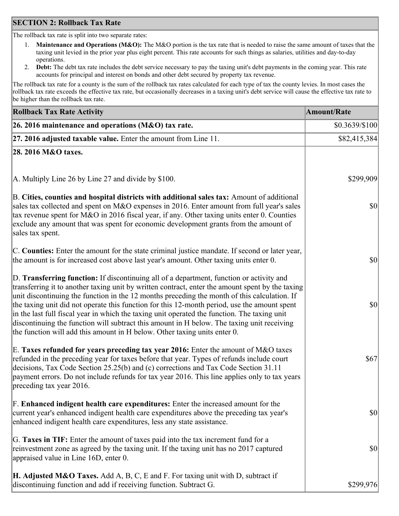### **SECTION 2: Rollback Tax Rate**

The rollback tax rate is split into two separate rates:

- 1. **Maintenance and Operations (M&O):** The M&O portion is the tax rate that is needed to raise the same amount of taxes that the taxing unit levied in the prior year plus eight percent. This rate accounts for such things as salaries, utilities and day-to-day operations.
- 2. **Debt:** The debt tax rate includes the debt service necessary to pay the taxing unit's debt payments in the coming year. This rate accounts for principal and interest on bonds and other debt secured by property tax revenue.

The rollback tax rate for a county is the sum of the rollback tax rates calculated for each type of tax the county levies. In most cases the rollback tax rate exceeds the effective tax rate, but occasionally decreases in a taxing unit's debt service will cause the effective tax rate to be higher than the rollback tax rate.

| <b>Rollback Tax Rate Activity</b>                                                                                                                                                                                                                                                                                                                                                                                                                                                                                                                                                                                                                                       | <b>Amount/Rate</b> |
|-------------------------------------------------------------------------------------------------------------------------------------------------------------------------------------------------------------------------------------------------------------------------------------------------------------------------------------------------------------------------------------------------------------------------------------------------------------------------------------------------------------------------------------------------------------------------------------------------------------------------------------------------------------------------|--------------------|
| 26. 2016 maintenance and operations (M&O) tax rate.                                                                                                                                                                                                                                                                                                                                                                                                                                                                                                                                                                                                                     | $$0.3639/\$100$    |
| $ 27.2016$ adjusted taxable value. Enter the amount from Line 11.                                                                                                                                                                                                                                                                                                                                                                                                                                                                                                                                                                                                       | \$82,415,384       |
| 28. 2016 M&O taxes.                                                                                                                                                                                                                                                                                                                                                                                                                                                                                                                                                                                                                                                     |                    |
|                                                                                                                                                                                                                                                                                                                                                                                                                                                                                                                                                                                                                                                                         |                    |
| A. Multiply Line 26 by Line 27 and divide by \$100.                                                                                                                                                                                                                                                                                                                                                                                                                                                                                                                                                                                                                     | \$299,909          |
| B. Cities, counties and hospital districts with additional sales tax: Amount of additional<br>sales tax collected and spent on M&O expenses in 2016. Enter amount from full year's sales<br>tax revenue spent for M&O in 2016 fiscal year, if any. Other taxing units enter 0. Counties<br>exclude any amount that was spent for economic development grants from the amount of<br>sales tax spent.                                                                                                                                                                                                                                                                     | 30                 |
| C. Counties: Enter the amount for the state criminal justice mandate. If second or later year,<br>the amount is for increased cost above last year's amount. Other taxing units enter 0.                                                                                                                                                                                                                                                                                                                                                                                                                                                                                | 30                 |
| D. Transferring function: If discontinuing all of a department, function or activity and<br>transferring it to another taxing unit by written contract, enter the amount spent by the taxing<br>unit discontinuing the function in the 12 months preceding the month of this calculation. If<br>the taxing unit did not operate this function for this 12-month period, use the amount spent<br>in the last full fiscal year in which the taxing unit operated the function. The taxing unit<br>discontinuing the function will subtract this amount in H below. The taxing unit receiving<br>the function will add this amount in H below. Other taxing units enter 0. | \$0                |
| E. Taxes refunded for years preceding tax year 2016: Enter the amount of M&O taxes<br>refunded in the preceding year for taxes before that year. Types of refunds include court<br>decisions, Tax Code Section 25.25(b) and (c) corrections and Tax Code Section 31.11<br>payment errors. Do not include refunds for tax year 2016. This line applies only to tax years<br>preceding tax year 2016.                                                                                                                                                                                                                                                                     | \$67               |
| F. Enhanced indigent health care expenditures: Enter the increased amount for the<br>current year's enhanced indigent health care expenditures above the preceding tax year's<br>enhanced indigent health care expenditures, less any state assistance.                                                                                                                                                                                                                                                                                                                                                                                                                 | $ 10\rangle$       |
| G. Taxes in TIF: Enter the amount of taxes paid into the tax increment fund for a<br>reinvestment zone as agreed by the taxing unit. If the taxing unit has no 2017 captured<br>appraised value in Line 16D, enter 0.                                                                                                                                                                                                                                                                                                                                                                                                                                                   | $ 10\rangle$       |
| <b>H. Adjusted M&amp;O Taxes.</b> Add A, B, C, E and F. For taxing unit with D, subtract if<br>discontinuing function and add if receiving function. Subtract G.                                                                                                                                                                                                                                                                                                                                                                                                                                                                                                        | \$299,976          |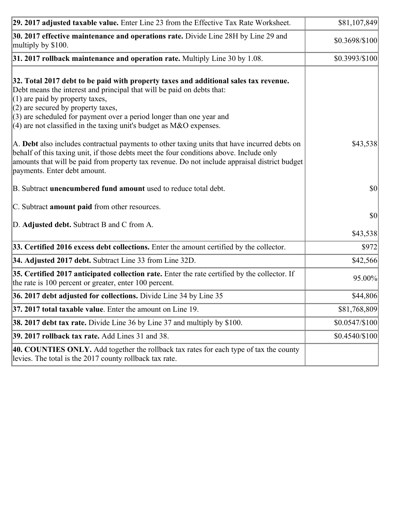| 29. 2017 adjusted taxable value. Enter Line 23 from the Effective Tax Rate Worksheet.                                                                                                                                                                                                                                                                                                          | \$81,107,849     |
|------------------------------------------------------------------------------------------------------------------------------------------------------------------------------------------------------------------------------------------------------------------------------------------------------------------------------------------------------------------------------------------------|------------------|
| 30. 2017 effective maintenance and operations rate. Divide Line 28H by Line 29 and<br>multiply by \$100.                                                                                                                                                                                                                                                                                       | \$0.3698/\$100   |
| $31.2017$ rollback maintenance and operation rate. Multiply Line 30 by 1.08.                                                                                                                                                                                                                                                                                                                   | \$0.3993/\$100   |
| 32. Total 2017 debt to be paid with property taxes and additional sales tax revenue.<br>Debt means the interest and principal that will be paid on debts that:<br>$(1)$ are paid by property taxes,<br>$(2)$ are secured by property taxes,<br>$(3)$ are scheduled for payment over a period longer than one year and<br>$(4)$ are not classified in the taxing unit's budget as M&O expenses. |                  |
| A. Debt also includes contractual payments to other taxing units that have incurred debts on<br>behalf of this taxing unit, if those debts meet the four conditions above. Include only<br>amounts that will be paid from property tax revenue. Do not include appraisal district budget<br>payments. Enter debt amount.                                                                       | \$43,538         |
| B. Subtract unencumbered fund amount used to reduce total debt.                                                                                                                                                                                                                                                                                                                                | \$0              |
| C. Subtract amount paid from other resources.                                                                                                                                                                                                                                                                                                                                                  |                  |
| D. Adjusted debt. Subtract B and C from A.                                                                                                                                                                                                                                                                                                                                                     | \$0 <br>\$43,538 |
| 33. Certified 2016 excess debt collections. Enter the amount certified by the collector.                                                                                                                                                                                                                                                                                                       | \$972]           |
| 34. Adjusted 2017 debt. Subtract Line 33 from Line 32D.                                                                                                                                                                                                                                                                                                                                        | \$42,566         |
| 35. Certified 2017 anticipated collection rate. Enter the rate certified by the collector. If<br>the rate is 100 percent or greater, enter 100 percent.                                                                                                                                                                                                                                        | 95.00%           |
| 36. 2017 debt adjusted for collections. Divide Line 34 by Line 35                                                                                                                                                                                                                                                                                                                              | \$44,806         |
| $37.2017$ total taxable value. Enter the amount on Line 19.                                                                                                                                                                                                                                                                                                                                    | \$81,768,809     |
| <b>38. 2017 debt tax rate.</b> Divide Line 36 by Line 37 and multiply by \$100.                                                                                                                                                                                                                                                                                                                | $$0.0547/\$100$  |
| 39. 2017 rollback tax rate. Add Lines 31 and 38.                                                                                                                                                                                                                                                                                                                                               | \$0.4540/\$100   |
| 40. COUNTIES ONLY. Add together the rollback tax rates for each type of tax the county<br>levies. The total is the 2017 county rollback tax rate.                                                                                                                                                                                                                                              |                  |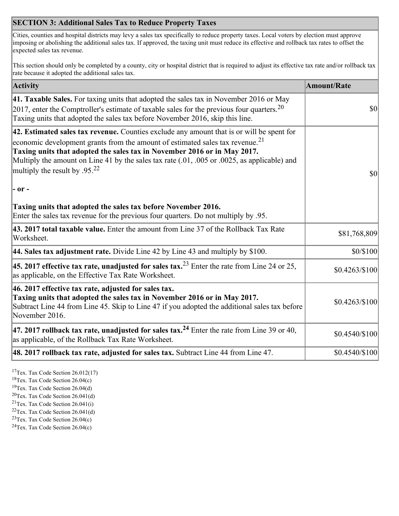## **SECTION 3: Additional Sales Tax to Reduce Property Taxes**

Cities, counties and hospital districts may levy a sales tax specifically to reduce property taxes. Local voters by election must approve imposing or abolishing the additional sales tax. If approved, the taxing unit must reduce its effective and rollback tax rates to offset the expected sales tax revenue.

This section should only be completed by a county, city or hospital district that is required to adjust its effective tax rate and/or rollback tax rate because it adopted the additional sales tax.

| <b>Activity</b>                                                                                                                                                                                                                                                                                                                                                                                         | <b>Amount/Rate</b> |
|---------------------------------------------------------------------------------------------------------------------------------------------------------------------------------------------------------------------------------------------------------------------------------------------------------------------------------------------------------------------------------------------------------|--------------------|
| 41. Taxable Sales. For taxing units that adopted the sales tax in November 2016 or May<br>[2017, enter the Comptroller's estimate of taxable sales for the previous four quarters. <sup>20</sup><br>Taxing units that adopted the sales tax before November 2016, skip this line.                                                                                                                       | $\vert$ so $\vert$ |
| 42. Estimated sales tax revenue. Counties exclude any amount that is or will be spent for<br>economic development grants from the amount of estimated sales tax revenue. <sup>21</sup><br>Taxing units that adopted the sales tax in November 2016 or in May 2017.<br>Multiply the amount on Line 41 by the sales tax rate (.01, .005 or .0025, as applicable) and<br>multiply the result by $.95^{22}$ | \$0                |
| $ -$ or $-$                                                                                                                                                                                                                                                                                                                                                                                             |                    |
| Taxing units that adopted the sales tax before November 2016.<br>Enter the sales tax revenue for the previous four quarters. Do not multiply by .95.                                                                                                                                                                                                                                                    |                    |
| 43. 2017 total taxable value. Enter the amount from Line 37 of the Rollback Tax Rate<br>Worksheet.                                                                                                                                                                                                                                                                                                      | \$81,768,809       |
| 44. Sales tax adjustment rate. Divide Line 42 by Line 43 and multiply by $$100$ .                                                                                                                                                                                                                                                                                                                       | \$0/\$100          |
| 45. 2017 effective tax rate, unadjusted for sales tax. <sup>23</sup> Enter the rate from Line 24 or 25,<br>as applicable, on the Effective Tax Rate Worksheet.                                                                                                                                                                                                                                          | $$0.4263/\$100$    |
| 46. 2017 effective tax rate, adjusted for sales tax.<br>Taxing units that adopted the sales tax in November 2016 or in May 2017.<br>Subtract Line 44 from Line 45. Skip to Line 47 if you adopted the additional sales tax before<br>November 2016.                                                                                                                                                     | $$0.4263/\$100$    |
| 47. 2017 rollback tax rate, unadjusted for sales tax. <sup>24</sup> Enter the rate from Line 39 or 40,<br>as applicable, of the Rollback Tax Rate Worksheet.                                                                                                                                                                                                                                            | \$0.4540/\$100     |
| $ 48.2017$ rollback tax rate, adjusted for sales tax. Subtract Line 44 from Line 47.                                                                                                                                                                                                                                                                                                                    | $$0.4540/\$100$    |

<sup>17</sup>Tex. Tax Code Section 26.012(17)

<sup>18</sup>Tex. Tax Code Section 26.04(c)

<sup>19</sup>Tex. Tax Code Section 26.04(d)

<sup>20</sup>Tex. Tax Code Section 26.041(d)

- $21$ Tex. Tax Code Section 26.041(i)
- <sup>22</sup>Tex. Tax Code Section 26.041(d)
- <sup>23</sup>Tex. Tax Code Section  $26.04(c)$

<sup>24</sup>Tex. Tax Code Section  $26.04(c)$